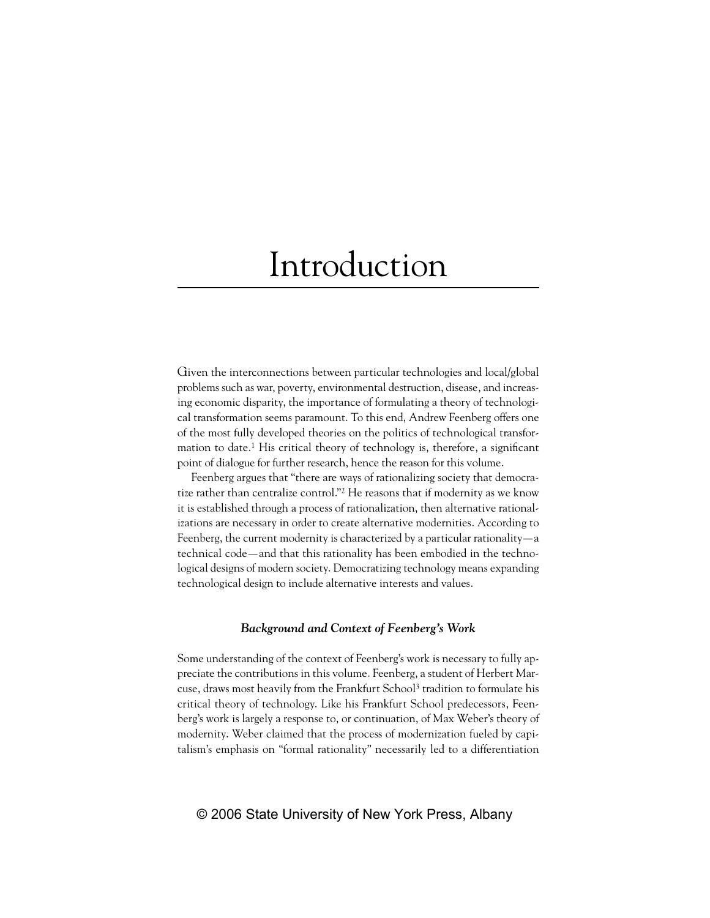## Introduction

Given the interconnections between particular technologies and local/global problems such as war, poverty, environmental destruction, disease, and increasing economic disparity, the importance of formulating a theory of technological transformation seems paramount. To this end, Andrew Feenberg offers one of the most fully developed theories on the politics of technological transformation to date.<sup>1</sup> His critical theory of technology is, therefore, a significant point of dialogue for further research, hence the reason for this volume.

Feenberg argues that "there are ways of rationalizing society that democratize rather than centralize control."<sup>2</sup> He reasons that if modernity as we know it is established through a process of rationalization, then alternative rationalizations are necessary in order to create alternative modernities. According to Feenberg, the current modernity is characterized by a particular rationality—a technical code—and that this rationality has been embodied in the technological designs of modern society. Democratizing technology means expanding technological design to include alternative interests and values.

#### *Background and Context of Feenberg's Work*

Some understanding of the context of Feenberg's work is necessary to fully appreciate the contributions in this volume. Feenberg, a student of Herbert Marcuse, draws most heavily from the Frankfurt School<sup>3</sup> tradition to formulate his critical theory of technology. Like his Frankfurt School predecessors, Feenberg's work is largely a response to, or continuation, of Max Weber's theory of modernity. Weber claimed that the process of modernization fueled by capitalism's emphasis on "formal rationality" necessarily led to a differentiation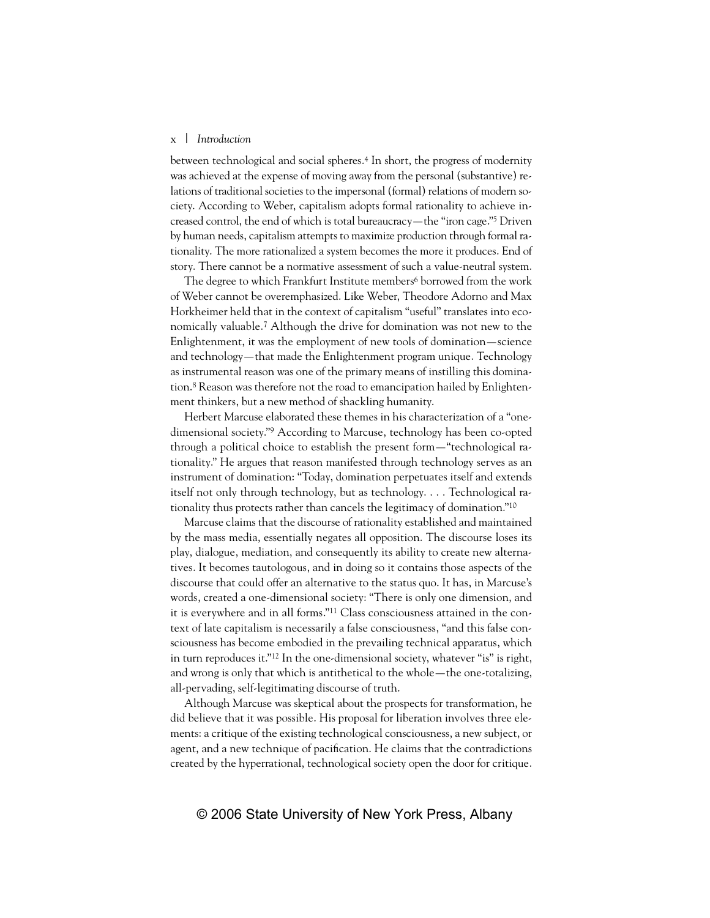#### x | *Introduction*

between technological and social spheres.<sup>4</sup> In short, the progress of modernity was achieved at the expense of moving away from the personal (substantive) relations of traditional societies to the impersonal (formal) relations of modern society. According to Weber, capitalism adopts formal rationality to achieve increased control, the end of which is total bureaucracy—the "iron cage."<sup>5</sup> Driven by human needs, capitalism attempts to maximize production through formal rationality. The more rationalized a system becomes the more it produces. End of story. There cannot be a normative assessment of such a value-neutral system.

The degree to which Frankfurt Institute members<sup>6</sup> borrowed from the work of Weber cannot be overemphasized. Like Weber, Theodore Adorno and Max Horkheimer held that in the context of capitalism "useful" translates into economically valuable.<sup>7</sup> Although the drive for domination was not new to the Enlightenment, it was the employment of new tools of domination—science and technology—that made the Enlightenment program unique. Technology as instrumental reason was one of the primary means of instilling this domination.<sup>8</sup> Reason was therefore not the road to emancipation hailed by Enlightenment thinkers, but a new method of shackling humanity.

Herbert Marcuse elaborated these themes in his characterization of a "onedimensional society."<sup>9</sup> According to Marcuse, technology has been co-opted through a political choice to establish the present form—"technological rationality." He argues that reason manifested through technology serves as an instrument of domination: "Today, domination perpetuates itself and extends itself not only through technology, but as technology. . . . Technological rationality thus protects rather than cancels the legitimacy of domination."<sup>10</sup>

Marcuse claims that the discourse of rationality established and maintained by the mass media, essentially negates all opposition. The discourse loses its play, dialogue, mediation, and consequently its ability to create new alternatives. It becomes tautologous, and in doing so it contains those aspects of the discourse that could offer an alternative to the status quo. It has, in Marcuse's words, created a one-dimensional society: "There is only one dimension, and it is everywhere and in all forms."<sup>11</sup> Class consciousness attained in the context of late capitalism is necessarily a false consciousness, "and this false consciousness has become embodied in the prevailing technical apparatus, which in turn reproduces it."<sup>12</sup> In the one-dimensional society, whatever "is" is right, and wrong is only that which is antithetical to the whole—the one-totalizing, all-pervading, self-legitimating discourse of truth.

Although Marcuse was skeptical about the prospects for transformation, he did believe that it was possible. His proposal for liberation involves three elements: a critique of the existing technological consciousness, a new subject, or agent, and a new technique of pacification. He claims that the contradictions created by the hyperrational, technological society open the door for critique.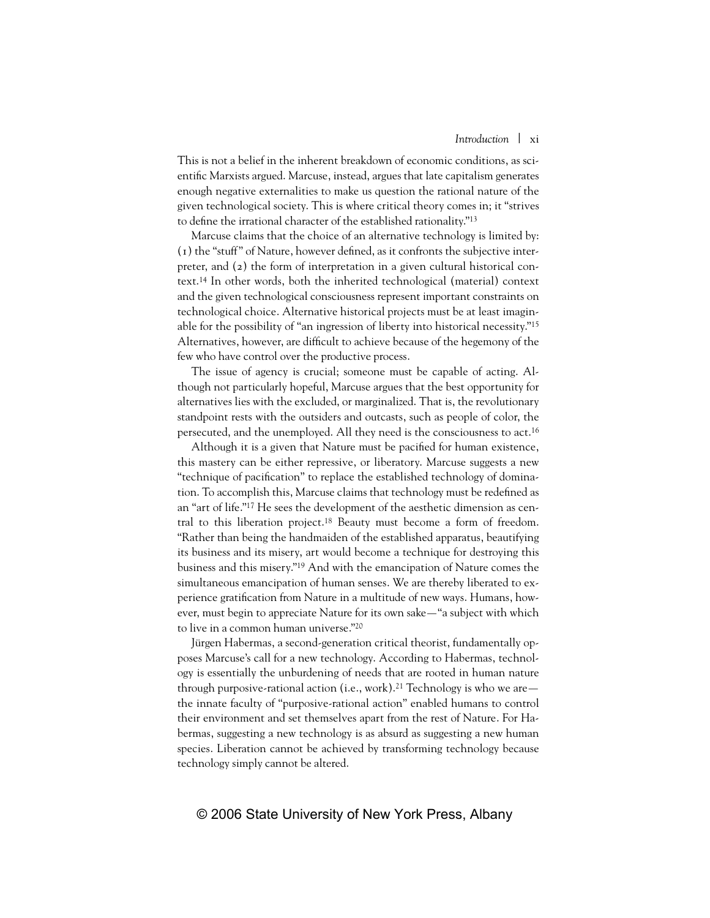This is not a belief in the inherent breakdown of economic conditions, as scientific Marxists argued. Marcuse, instead, argues that late capitalism generates enough negative externalities to make us question the rational nature of the given technological society. This is where critical theory comes in; it "strives to define the irrational character of the established rationality."<sup>13</sup>

Marcuse claims that the choice of an alternative technology is limited by:  $(1)$  the "stuff" of Nature, however defined, as it confronts the subjective interpreter, and (2) the form of interpretation in a given cultural historical context.<sup>14</sup> In other words, both the inherited technological (material) context and the given technological consciousness represent important constraints on technological choice. Alternative historical projects must be at least imaginable for the possibility of "an ingression of liberty into historical necessity."<sup>15</sup> Alternatives, however, are difficult to achieve because of the hegemony of the few who have control over the productive process.

The issue of agency is crucial; someone must be capable of acting. Although not particularly hopeful, Marcuse argues that the best opportunity for alternatives lies with the excluded, or marginalized. That is, the revolutionary standpoint rests with the outsiders and outcasts, such as people of color, the persecuted, and the unemployed. All they need is the consciousness to act.<sup>16</sup>

Although it is a given that Nature must be pacified for human existence, this mastery can be either repressive, or liberatory. Marcuse suggests a new "technique of pacification" to replace the established technology of domination. To accomplish this, Marcuse claims that technology must be redefined as an "art of life."<sup>17</sup> He sees the development of the aesthetic dimension as central to this liberation project.<sup>18</sup> Beauty must become a form of freedom. "Rather than being the handmaiden of the established apparatus, beautifying its business and its misery, art would become a technique for destroying this business and this misery."<sup>19</sup> And with the emancipation of Nature comes the simultaneous emancipation of human senses. We are thereby liberated to experience gratification from Nature in a multitude of new ways. Humans, however, must begin to appreciate Nature for its own sake—"a subject with which to live in a common human universe."<sup>20</sup>

Jürgen Habermas, a second-generation critical theorist, fundamentally opposes Marcuse's call for a new technology. According to Habermas, technology is essentially the unburdening of needs that are rooted in human nature through purposive-rational action (i.e., work).<sup>21</sup> Technology is who we are the innate faculty of "purposive-rational action" enabled humans to control their environment and set themselves apart from the rest of Nature. For Habermas, suggesting a new technology is as absurd as suggesting a new human species. Liberation cannot be achieved by transforming technology because technology simply cannot be altered.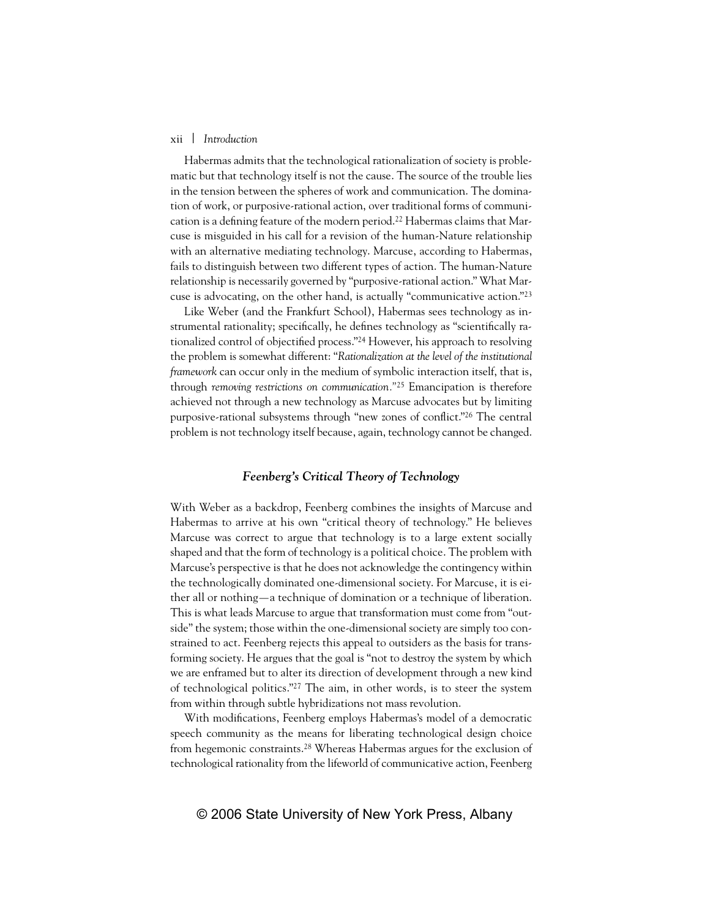#### xii | *Introduction*

Habermas admits that the technological rationalization of society is problematic but that technology itself is not the cause. The source of the trouble lies in the tension between the spheres of work and communication. The domination of work, or purposive-rational action, over traditional forms of communication is a defining feature of the modern period.<sup>22</sup> Habermas claims that Marcuse is misguided in his call for a revision of the human-Nature relationship with an alternative mediating technology. Marcuse, according to Habermas, fails to distinguish between two different types of action. The human-Nature relationship is necessarily governed by "purposive-rational action." What Marcuse is advocating, on the other hand, is actually "communicative action."<sup>23</sup>

Like Weber (and the Frankfurt School), Habermas sees technology as instrumental rationality; specifically, he defines technology as "scientifically rationalized control of objectified process."<sup>24</sup> However, his approach to resolving the problem is somewhat different: "*Rationalization at the level of the institutional framework* can occur only in the medium of symbolic interaction itself, that is, through *removing restrictions on communication."*<sup>25</sup> Emancipation is therefore achieved not through a new technology as Marcuse advocates but by limiting purposive-rational subsystems through "new zones of conflict."<sup>26</sup> The central problem is not technology itself because, again, technology cannot be changed.

#### *Feenberg's Critical Theory of Technology*

With Weber as a backdrop, Feenberg combines the insights of Marcuse and Habermas to arrive at his own "critical theory of technology." He believes Marcuse was correct to argue that technology is to a large extent socially shaped and that the form of technology is a political choice. The problem with Marcuse's perspective is that he does not acknowledge the contingency within the technologically dominated one-dimensional society. For Marcuse, it is either all or nothing—a technique of domination or a technique of liberation. This is what leads Marcuse to argue that transformation must come from "outside" the system; those within the one-dimensional society are simply too constrained to act. Feenberg rejects this appeal to outsiders as the basis for transforming society. He argues that the goal is "not to destroy the system by which we are enframed but to alter its direction of development through a new kind of technological politics."<sup>27</sup> The aim, in other words, is to steer the system from within through subtle hybridizations not mass revolution.

With modifications, Feenberg employs Habermas's model of a democratic speech community as the means for liberating technological design choice from hegemonic constraints.<sup>28</sup> Whereas Habermas argues for the exclusion of technological rationality from the lifeworld of communicative action, Feenberg

#### © 2006 State University of New York Press, Albany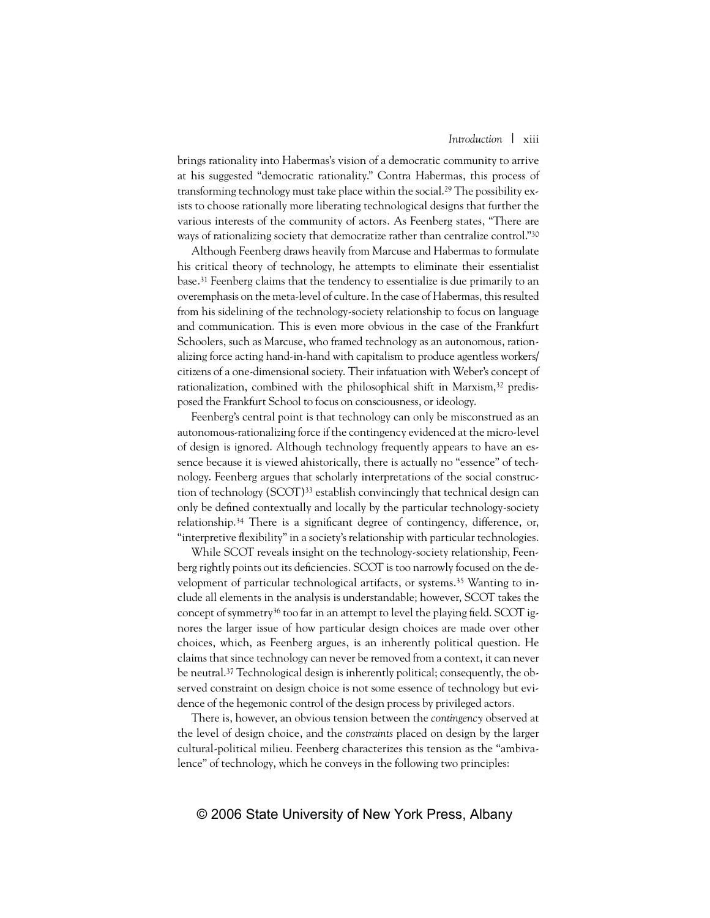brings rationality into Habermas's vision of a democratic community to arrive at his suggested "democratic rationality." Contra Habermas, this process of transforming technology must take place within the social.<sup>29</sup> The possibility exists to choose rationally more liberating technological designs that further the various interests of the community of actors. As Feenberg states, "There are ways of rationalizing society that democratize rather than centralize control."<sup>30</sup>

Although Feenberg draws heavily from Marcuse and Habermas to formulate his critical theory of technology, he attempts to eliminate their essentialist base.<sup>31</sup> Feenberg claims that the tendency to essentialize is due primarily to an overemphasis on the meta-level of culture. In the case of Habermas, this resulted from his sidelining of the technology-society relationship to focus on language and communication. This is even more obvious in the case of the Frankfurt Schoolers, such as Marcuse, who framed technology as an autonomous, rationalizing force acting hand-in-hand with capitalism to produce agentless workers/ citizens of a one-dimensional society. Their infatuation with Weber's concept of rationalization, combined with the philosophical shift in Marxism,<sup>32</sup> predisposed the Frankfurt School to focus on consciousness, or ideology.

Feenberg's central point is that technology can only be misconstrued as an autonomous-rationalizing force if the contingency evidenced at the micro-level of design is ignored. Although technology frequently appears to have an essence because it is viewed ahistorically, there is actually no "essence" of technology. Feenberg argues that scholarly interpretations of the social construction of technology (SCOT)<sup>33</sup> establish convincingly that technical design can only be defined contextually and locally by the particular technology-society relationship.<sup>34</sup> There is a significant degree of contingency, difference, or, "interpretive flexibility" in a society's relationship with particular technologies.

While SCOT reveals insight on the technology-society relationship, Feenberg rightly points out its deficiencies. SCOT is too narrowly focused on the development of particular technological artifacts, or systems.<sup>35</sup> Wanting to include all elements in the analysis is understandable; however, SCOT takes the concept of symmetry<sup>36</sup> too far in an attempt to level the playing field. SCOT ignores the larger issue of how particular design choices are made over other choices, which, as Feenberg argues, is an inherently political question. He claims that since technology can never be removed from a context, it can never be neutral.<sup>37</sup> Technological design is inherently political; consequently, the observed constraint on design choice is not some essence of technology but evidence of the hegemonic control of the design process by privileged actors.

There is, however, an obvious tension between the *contingency* observed at the level of design choice, and the *constraints* placed on design by the larger cultural-political milieu. Feenberg characterizes this tension as the "ambivalence" of technology, which he conveys in the following two principles: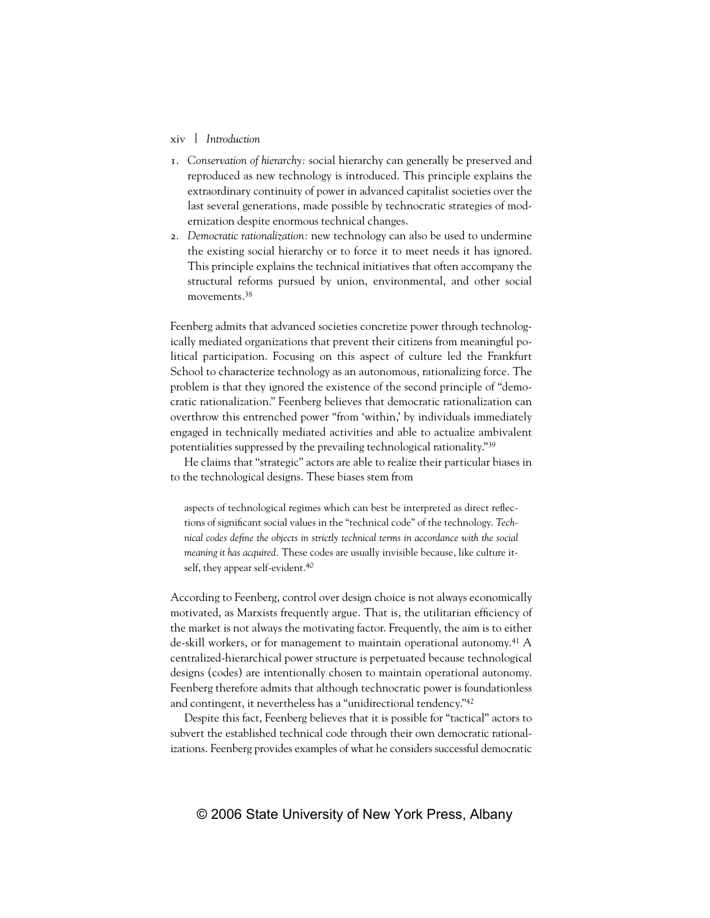#### xiv | *Introduction*

- 1. *Conservation of hierarchy:* social hierarchy can generally be preserved and reproduced as new technology is introduced. This principle explains the extraordinary continuity of power in advanced capitalist societies over the last several generations, made possible by technocratic strategies of modernization despite enormous technical changes.
- 2. *Democratic rationalization:* new technology can also be used to undermine the existing social hierarchy or to force it to meet needs it has ignored. This principle explains the technical initiatives that often accompany the structural reforms pursued by union, environmental, and other social movements.<sup>38</sup>

Feenberg admits that advanced societies concretize power through technologically mediated organizations that prevent their citizens from meaningful political participation. Focusing on this aspect of culture led the Frankfurt School to characterize technology as an autonomous, rationalizing force. The problem is that they ignored the existence of the second principle of "democratic rationalization." Feenberg believes that democratic rationalization can overthrow this entrenched power "from 'within,' by individuals immediately engaged in technically mediated activities and able to actualize ambivalent potentialities suppressed by the prevailing technological rationality."<sup>39</sup>

He claims that "strategic" actors are able to realize their particular biases in to the technological designs. These biases stem from

aspects of technological regimes which can best be interpreted as direct reflections of significant social values in the "technical code" of the technology. *Technical codes define the objects in strictly technical terms in accordance with the social meaning it has acquired.* These codes are usually invisible because, like culture itself, they appear self-evident.<sup>40</sup>

According to Feenberg, control over design choice is not always economically motivated, as Marxists frequently argue. That is, the utilitarian efficiency of the market is not always the motivating factor. Frequently, the aim is to either de-skill workers, or for management to maintain operational autonomy.<sup>41</sup> A centralized-hierarchical power structure is perpetuated because technological designs (codes) are intentionally chosen to maintain operational autonomy. Feenberg therefore admits that although technocratic power is foundationless and contingent, it nevertheless has a "unidirectional tendency."<sup>42</sup>

Despite this fact, Feenberg believes that it is possible for "tactical" actors to subvert the established technical code through their own democratic rationalizations. Feenberg provides examples of what he considers successful democratic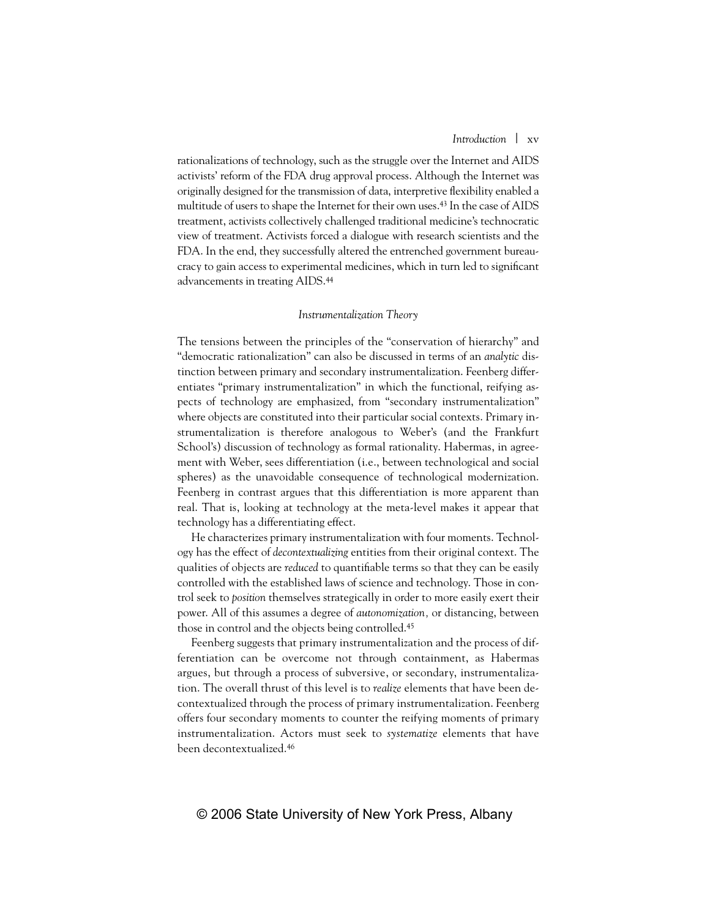rationalizations of technology, such as the struggle over the Internet and AIDS activists' reform of the FDA drug approval process. Although the Internet was originally designed for the transmission of data, interpretive flexibility enabled a multitude of users to shape the Internet for their own uses.<sup>43</sup> In the case of AIDS treatment, activists collectively challenged traditional medicine's technocratic view of treatment. Activists forced a dialogue with research scientists and the FDA. In the end, they successfully altered the entrenched government bureaucracy to gain access to experimental medicines, which in turn led to significant advancements in treating AIDS.<sup>44</sup>

#### *Instrumentalization Theory*

The tensions between the principles of the "conservation of hierarchy" and "democratic rationalization" can also be discussed in terms of an *analytic* distinction between primary and secondary instrumentalization. Feenberg differentiates "primary instrumentalization" in which the functional, reifying aspects of technology are emphasized, from "secondary instrumentalization" where objects are constituted into their particular social contexts. Primary instrumentalization is therefore analogous to Weber's (and the Frankfurt School's) discussion of technology as formal rationality. Habermas, in agreement with Weber, sees differentiation (i.e., between technological and social spheres) as the unavoidable consequence of technological modernization. Feenberg in contrast argues that this differentiation is more apparent than real. That is, looking at technology at the meta-level makes it appear that technology has a differentiating effect.

He characterizes primary instrumentalization with four moments. Technology has the effect of *decontextualizing* entities from their original context. The qualities of objects are *reduced* to quantifiable terms so that they can be easily controlled with the established laws of science and technology. Those in control seek to *position* themselves strategically in order to more easily exert their power. All of this assumes a degree of *autonomization,* or distancing, between those in control and the objects being controlled.<sup>45</sup>

Feenberg suggests that primary instrumentalization and the process of differentiation can be overcome not through containment, as Habermas argues, but through a process of subversive, or secondary, instrumentalization. The overall thrust of this level is to *realize* elements that have been decontextualized through the process of primary instrumentalization. Feenberg offers four secondary moments to counter the reifying moments of primary instrumentalization. Actors must seek to *systematize* elements that have been decontextualized.<sup>46</sup>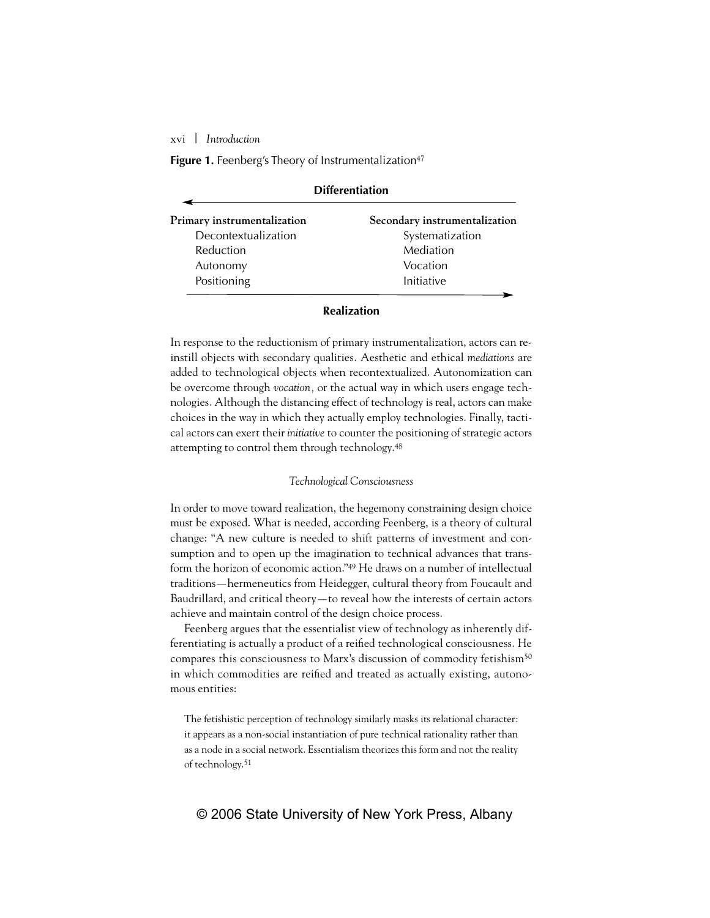#### xvi | *Introduction*

**Figure 1.** Feenberg's Theory of Instrumentalization<sup>47</sup>

| Primary instrumentalization | Secondary instrumentalization |
|-----------------------------|-------------------------------|
| Decontextualization         | Systematization               |
| Reduction                   | Mediation                     |
| Autonomy                    | Vocation                      |
| Positioning                 | Initiative                    |
|                             |                               |

#### **Differentiation**

#### **Realization**

In response to the reductionism of primary instrumentalization, actors can reinstill objects with secondary qualities. Aesthetic and ethical *mediations* are added to technological objects when recontextualized. Autonomization can be overcome through *vocation,* or the actual way in which users engage technologies. Although the distancing effect of technology is real, actors can make choices in the way in which they actually employ technologies. Finally, tactical actors can exert their *initiative* to counter the positioning of strategic actors attempting to control them through technology.<sup>48</sup>

#### *Technological Consciousness*

In order to move toward realization, the hegemony constraining design choice must be exposed. What is needed, according Feenberg, is a theory of cultural change: "A new culture is needed to shift patterns of investment and consumption and to open up the imagination to technical advances that transform the horizon of economic action."<sup>49</sup> He draws on a number of intellectual traditions—hermeneutics from Heidegger, cultural theory from Foucault and Baudrillard, and critical theory—to reveal how the interests of certain actors achieve and maintain control of the design choice process.

Feenberg argues that the essentialist view of technology as inherently differentiating is actually a product of a reified technological consciousness. He compares this consciousness to Marx's discussion of commodity fetishism<sup>50</sup> in which commodities are reified and treated as actually existing, autonomous entities:

The fetishistic perception of technology similarly masks its relational character: it appears as a non-social instantiation of pure technical rationality rather than as a node in a social network. Essentialism theorizes this form and not the reality of technology.51

#### © 2006 State University of New York Press, Albany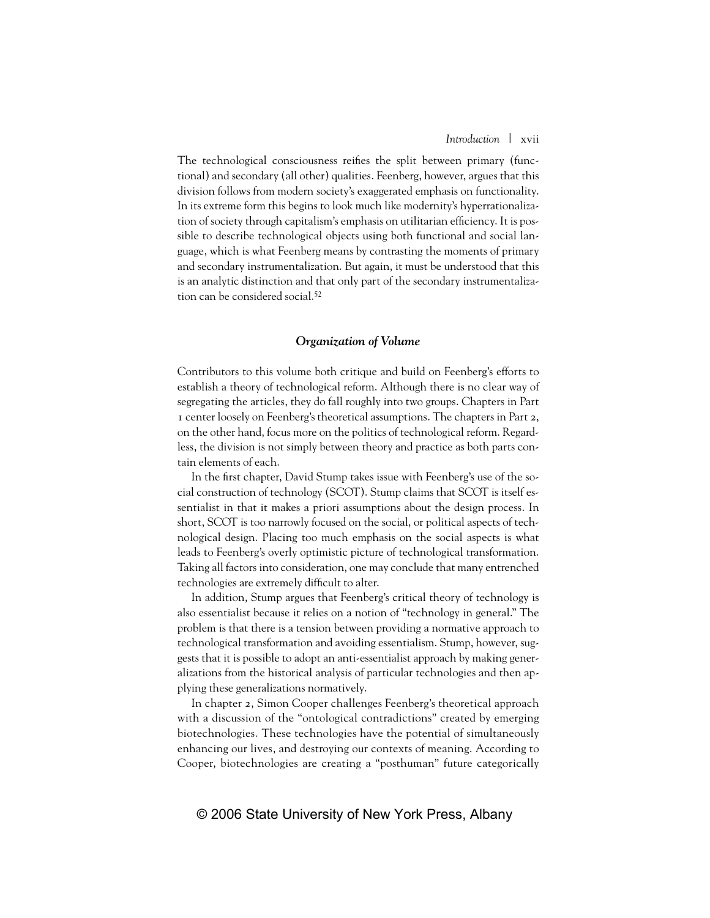The technological consciousness reifies the split between primary (functional) and secondary (all other) qualities. Feenberg, however, argues that this division follows from modern society's exaggerated emphasis on functionality. In its extreme form this begins to look much like modernity's hyperrationalization of society through capitalism's emphasis on utilitarian efficiency. It is possible to describe technological objects using both functional and social language, which is what Feenberg means by contrasting the moments of primary and secondary instrumentalization. But again, it must be understood that this is an analytic distinction and that only part of the secondary instrumentalization can be considered social.<sup>52</sup>

#### *Organization of Volume*

Contributors to this volume both critique and build on Feenberg's efforts to establish a theory of technological reform. Although there is no clear way of segregating the articles, they do fall roughly into two groups. Chapters in Part 1 center loosely on Feenberg's theoretical assumptions. The chapters in Part 2, on the other hand, focus more on the politics of technological reform. Regardless, the division is not simply between theory and practice as both parts contain elements of each.

In the first chapter, David Stump takes issue with Feenberg's use of the social construction of technology (SCOT). Stump claims that SCOT is itself essentialist in that it makes a priori assumptions about the design process. In short, SCOT is too narrowly focused on the social, or political aspects of technological design. Placing too much emphasis on the social aspects is what leads to Feenberg's overly optimistic picture of technological transformation. Taking all factors into consideration, one may conclude that many entrenched technologies are extremely difficult to alter.

In addition, Stump argues that Feenberg's critical theory of technology is also essentialist because it relies on a notion of "technology in general." The problem is that there is a tension between providing a normative approach to technological transformation and avoiding essentialism. Stump, however, suggests that it is possible to adopt an anti-essentialist approach by making generalizations from the historical analysis of particular technologies and then applying these generalizations normatively.

In chapter 2, Simon Cooper challenges Feenberg's theoretical approach with a discussion of the "ontological contradictions" created by emerging biotechnologies. These technologies have the potential of simultaneously enhancing our lives, and destroying our contexts of meaning. According to Cooper, biotechnologies are creating a "posthuman" future categorically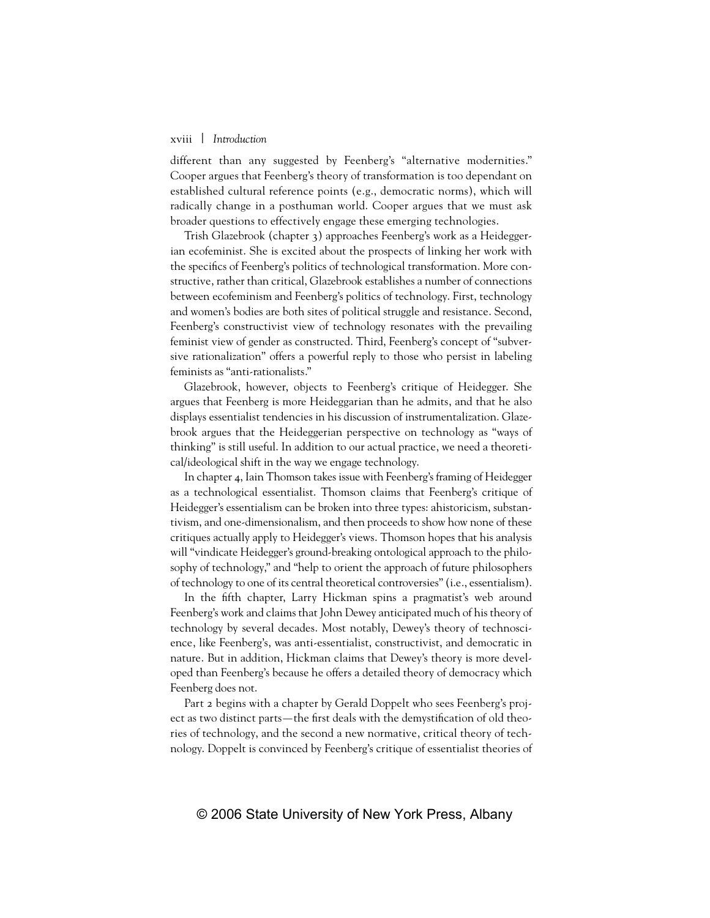#### xviii | *Introduction*

different than any suggested by Feenberg's "alternative modernities." Cooper argues that Feenberg's theory of transformation is too dependant on established cultural reference points (e.g., democratic norms), which will radically change in a posthuman world. Cooper argues that we must ask broader questions to effectively engage these emerging technologies.

Trish Glazebrook (chapter 3) approaches Feenberg's work as a Heideggerian ecofeminist. She is excited about the prospects of linking her work with the specifics of Feenberg's politics of technological transformation. More constructive, rather than critical, Glazebrook establishes a number of connections between ecofeminism and Feenberg's politics of technology. First, technology and women's bodies are both sites of political struggle and resistance. Second, Feenberg's constructivist view of technology resonates with the prevailing feminist view of gender as constructed. Third, Feenberg's concept of "subversive rationalization" offers a powerful reply to those who persist in labeling feminists as "anti-rationalists."

Glazebrook, however, objects to Feenberg's critique of Heidegger. She argues that Feenberg is more Heideggarian than he admits, and that he also displays essentialist tendencies in his discussion of instrumentalization. Glazebrook argues that the Heideggerian perspective on technology as "ways of thinking" is still useful. In addition to our actual practice, we need a theoretical/ideological shift in the way we engage technology.

In chapter 4, Iain Thomson takes issue with Feenberg's framing of Heidegger as a technological essentialist. Thomson claims that Feenberg's critique of Heidegger's essentialism can be broken into three types: ahistoricism, substantivism, and one-dimensionalism, and then proceeds to show how none of these critiques actually apply to Heidegger's views. Thomson hopes that his analysis will "vindicate Heidegger's ground-breaking ontological approach to the philosophy of technology," and "help to orient the approach of future philosophers of technology to one of its central theoretical controversies" (i.e., essentialism).

In the fifth chapter, Larry Hickman spins a pragmatist's web around Feenberg's work and claims that John Dewey anticipated much of his theory of technology by several decades. Most notably, Dewey's theory of technoscience, like Feenberg's, was anti-essentialist, constructivist, and democratic in nature. But in addition, Hickman claims that Dewey's theory is more developed than Feenberg's because he offers a detailed theory of democracy which Feenberg does not.

Part 2 begins with a chapter by Gerald Doppelt who sees Feenberg's project as two distinct parts—the first deals with the demystification of old theories of technology, and the second a new normative, critical theory of technology. Doppelt is convinced by Feenberg's critique of essentialist theories of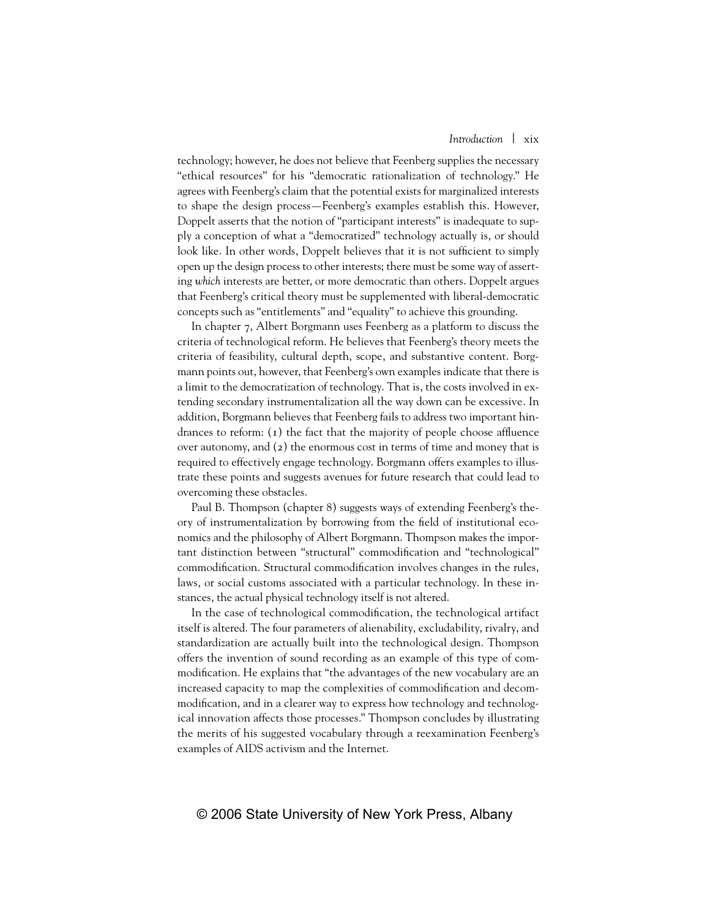technology; however, he does not believe that Feenberg supplies the necessary "ethical resources" for his "democratic rationalization of technology." He agrees with Feenberg's claim that the potential exists for marginalized interests to shape the design process—Feenberg's examples establish this. However, Doppelt asserts that the notion of "participant interests" is inadequate to supply a conception of what a "democratized" technology actually is, or should look like. In other words, Doppelt believes that it is not sufficient to simply open up the design process to other interests; there must be some way of asserting *which* interests are better, or more democratic than others. Doppelt argues that Feenberg's critical theory must be supplemented with liberal-democratic concepts such as "entitlements" and "equality" to achieve this grounding.

In chapter 7, Albert Borgmann uses Feenberg as a platform to discuss the criteria of technological reform. He believes that Feenberg's theory meets the criteria of feasibility, cultural depth, scope, and substantive content. Borgmann points out, however, that Feenberg's own examples indicate that there is a limit to the democratization of technology. That is, the costs involved in extending secondary instrumentalization all the way down can be excessive. In addition, Borgmann believes that Feenberg fails to address two important hindrances to reform: (1) the fact that the majority of people choose affluence over autonomy, and (2) the enormous cost in terms of time and money that is required to effectively engage technology. Borgmann offers examples to illustrate these points and suggests avenues for future research that could lead to overcoming these obstacles.

Paul B. Thompson (chapter 8) suggests ways of extending Feenberg's theory of instrumentalization by borrowing from the field of institutional economics and the philosophy of Albert Borgmann. Thompson makes the important distinction between "structural" commodification and "technological" commodification. Structural commodification involves changes in the rules, laws, or social customs associated with a particular technology. In these instances, the actual physical technology itself is not altered.

In the case of technological commodification, the technological artifact itself is altered. The four parameters of alienability, excludability, rivalry, and standardization are actually built into the technological design. Thompson offers the invention of sound recording as an example of this type of commodification. He explains that "the advantages of the new vocabulary are an increased capacity to map the complexities of commodification and decommodification, and in a clearer way to express how technology and technological innovation affects those processes." Thompson concludes by illustrating the merits of his suggested vocabulary through a reexamination Feenberg's examples of AIDS activism and the Internet.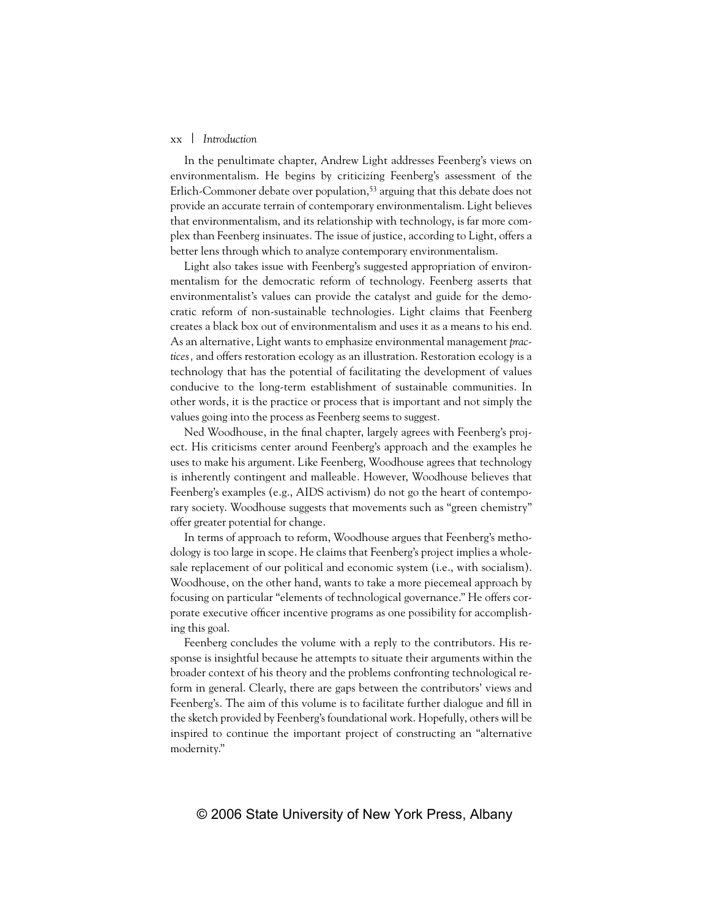#### xx | *Introduction*

In the penultimate chapter, Andrew Light addresses Feenberg's views on environmentalism. He begins by criticizing Feenberg's assessment of the Erlich-Commoner debate over population,<sup>53</sup> arguing that this debate does not provide an accurate terrain of contemporary environmentalism. Light believes that environmentalism, and its relationship with technology, is far more complex than Feenberg insinuates. The issue of justice, according to Light, offers a better lens through which to analyze contemporary environmentalism.

Light also takes issue with Feenberg's suggested appropriation of environmentalism for the democratic reform of technology. Feenberg asserts that environmentalist's values can provide the catalyst and guide for the democratic reform of non-sustainable technologies. Light claims that Feenberg creates a black box out of environmentalism and uses it as a means to his end. As an alternative, Light wants to emphasize environmental management *practices,* and offers restoration ecology as an illustration. Restoration ecology is a technology that has the potential of facilitating the development of values conducive to the long-term establishment of sustainable communities. In other words, it is the practice or process that is important and not simply the values going into the process as Feenberg seems to suggest.

Ned Woodhouse, in the final chapter, largely agrees with Feenberg's project. His criticisms center around Feenberg's approach and the examples he uses to make his argument. Like Feenberg, Woodhouse agrees that technology is inherently contingent and malleable. However, Woodhouse believes that Feenberg's examples (e.g., AIDS activism) do not go the heart of contemporary society. Woodhouse suggests that movements such as "green chemistry" offer greater potential for change.

In terms of approach to reform, Woodhouse argues that Feenberg's methodology is too large in scope. He claims that Feenberg's project implies a wholesale replacement of our political and economic system (i.e., with socialism). Woodhouse, on the other hand, wants to take a more piecemeal approach by focusing on particular "elements of technological governance." He offers corporate executive officer incentive programs as one possibility for accomplishing this goal.

Feenberg concludes the volume with a reply to the contributors. His response is insightful because he attempts to situate their arguments within the broader context of his theory and the problems confronting technological reform in general. Clearly, there are gaps between the contributors' views and Feenberg's. The aim of this volume is to facilitate further dialogue and fill in the sketch provided by Feenberg's foundational work. Hopefully, others will be inspired to continue the important project of constructing an "alternative modernity."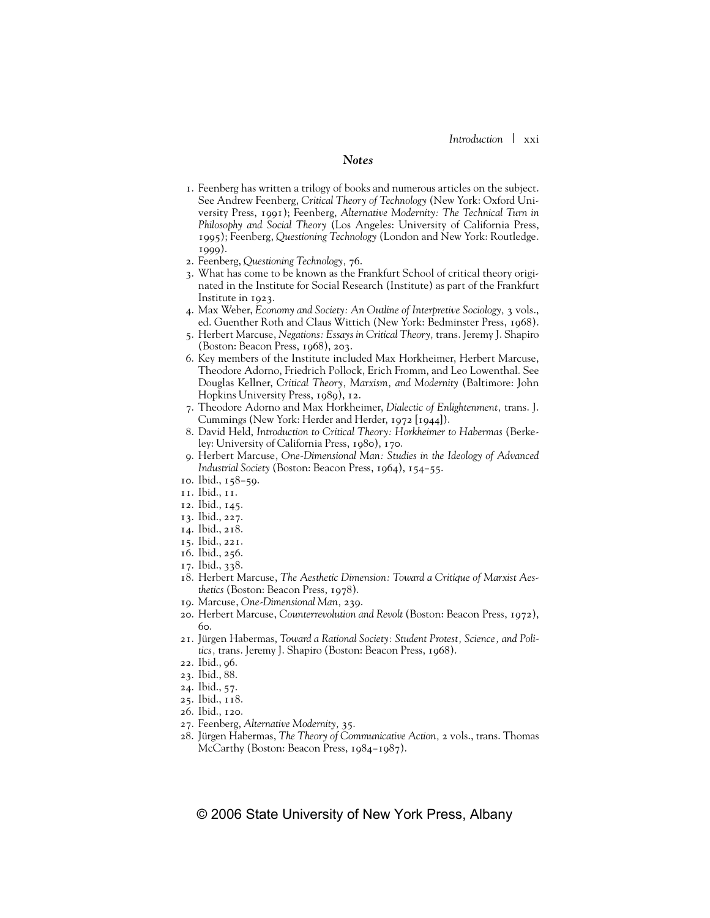#### *Notes*

- 1. Feenberg has written a trilogy of books and numerous articles on the subject. See Andrew Feenberg, *Critical Theory of Technology* (New York: Oxford University Press, 1991); Feenberg, *Alternative Modernity: The Technical Turn in Philosophy and Social Theory* (Los Angeles: University of California Press, 1995); Feenberg, *Questioning Technology* (London and New York: Routledge. 1999).
- 2. Feenberg, *Questioning Technology,* 76.
- 3. What has come to be known as the Frankfurt School of critical theory originated in the Institute for Social Research (Institute) as part of the Frankfurt Institute in 1923.
- 4. Max Weber, *Economy and Society: An Outline of Interpretive Sociology,* 3 vols., ed. Guenther Roth and Claus Wittich (New York: Bedminster Press, 1968).
- 5. Herbert Marcuse, *Negations: Essays in Critical Theory,* trans. Jeremy J. Shapiro (Boston: Beacon Press, 1968), 203.
- 6. Key members of the Institute included Max Horkheimer, Herbert Marcuse, Theodore Adorno, Friedrich Pollock, Erich Fromm, and Leo Lowenthal. See Douglas Kellner, *Critical Theory, Marxism, and Modernity* (Baltimore: John Hopkins University Press, 1989), 12.
- 7. Theodore Adorno and Max Horkheimer, *Dialectic of Enlightenment,* trans. J. Cummings (New York: Herder and Herder, 1972 [1944]).
- 8. David Held, *Introduction to Critical Theory: Horkheimer to Habermas* (Berkeley: University of California Press, 1980), 170.
- 9. Herbert Marcuse, *One-Dimensional Man: Studies in the Ideology of Advanced Industrial Society* (Boston: Beacon Press, 1964), 154–55.
- 10. Ibid., 158–59.
- 11. Ibid., 11.
- 12. Ibid., 145.
- 13. Ibid., 227.
- 14. Ibid., 218.
- 15. Ibid., 221.
- 16. Ibid., 256.
- 17. Ibid., 338.
- 18. Herbert Marcuse, *The Aesthetic Dimension: Toward a Critique of Marxist Aesthetics* (Boston: Beacon Press, 1978).
- 19. Marcuse, *One-Dimensional Man,* 239.
- 20. Herbert Marcuse, *Counterrevolution and Revolt* (Boston: Beacon Press, 1972), 60.
- 21. Jürgen Habermas, *Toward a Rational Society: Student Protest, Science, and Politics,* trans. Jeremy J. Shapiro (Boston: Beacon Press, 1968).
- 22. Ibid., 96.
- 23. Ibid., 88.
- 24. Ibid., 57.
- 25. Ibid., 118.
- 26. Ibid., 120.
- 27. Feenberg, *Alternative Modernity,* 35.
- 28. Jürgen Habermas, *The Theory of Communicative Action,* 2 vols., trans. Thomas McCarthy (Boston: Beacon Press, 1984–1987).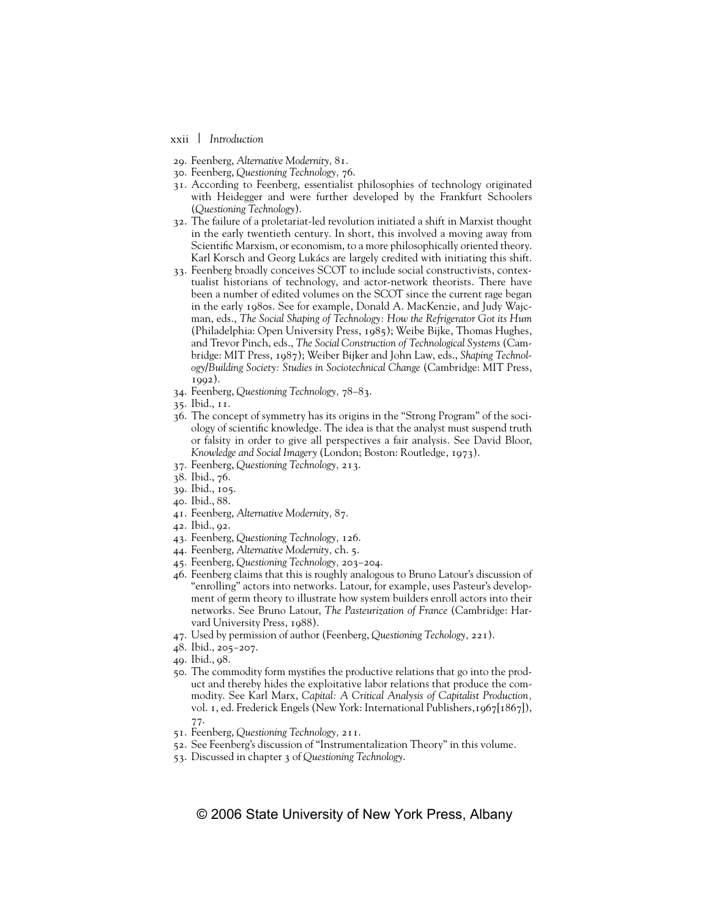#### xxii | *Introduction*

- 29. Feenberg, *Alternative Modernity,* 81.
- 30. Feenberg, *Questioning Technology,* 76.
- 31. According to Feenberg, essentialist philosophies of technology originated with Heidegger and were further developed by the Frankfurt Schoolers (*Questioning Technology*).
- 32. The failure of a proletariat-led revolution initiated a shift in Marxist thought in the early twentieth century. In short, this involved a moving away from Scientific Marxism, or economism, to a more philosophically oriented theory. Karl Korsch and Georg Lukács are largely credited with initiating this shift.
- 33. Feenberg broadly conceives SCOT to include social constructivists, contextualist historians of technology, and actor-network theorists. There have been a number of edited volumes on the SCOT since the current rage began in the early 1980s. See for example, Donald A. MacKenzie, and Judy Wajcman, eds., *The Social Shaping of Technology: How the Refrigerator Got its Hum* (Philadelphia: Open University Press, 1985); Weibe Bijke, Thomas Hughes, and Trevor Pinch, eds., *The Social Construction of Technological Systems* (Cambridge: MIT Press, 1987); Weiber Bijker and John Law, eds., *Shaping Technology/Building Society: Studies in Sociotechnical Change* (Cambridge: MIT Press,  $1002$ ).
- 34. Feenberg, *Questioning Technology,* 78–83.
- 35. Ibid., 11.
- 36. The concept of symmetry has its origins in the "Strong Program" of the sociology of scientific knowledge. The idea is that the analyst must suspend truth or falsity in order to give all perspectives a fair analysis. See David Bloor, *Knowledge and Social Imagery* (London; Boston: Routledge, 1973).
- 37. Feenberg, *Questioning Technology,* 213.
- 38. Ibid., 76.
- 39. Ibid., 105.
- 40. Ibid., 88.
- 41. Feenberg, *Alternative Modernity,* 87.
- 42. Ibid., 92.
- 43. Feenberg, *Questioning Technology,* 126.
- 44. Feenberg, *Alternative Modernity,* ch. 5.
- 45. Feenberg, *Questioning Technology,* 203–204.
- 46. Feenberg claims that this is roughly analogous to Bruno Latour's discussion of "enrolling" actors into networks. Latour, for example, uses Pasteur's development of germ theory to illustrate how system builders enroll actors into their networks. See Bruno Latour, *The Pasteurization of France* (Cambridge: Harvard University Press, 1988).
- 47. Used by permission of author (Feenberg, *Questioning Techology,* 221).
- 48. Ibid., 205–207.
- 49. Ibid., 98.
- 50. The commodity form mystifies the productive relations that go into the product and thereby hides the exploitative labor relations that produce the commodity. See Karl Marx, *Capital: A Critical Analysis of Capitalist Production,* vol. 1, ed. Frederick Engels (New York: International Publishers,1967[1867]), 77.
- 51. Feenberg, *Questioning Technology,* 211.
- 52. See Feenberg's discussion of "Instrumentalization Theory" in this volume.
- 53. Discussed in chapter 3 of *Questioning Technology*.